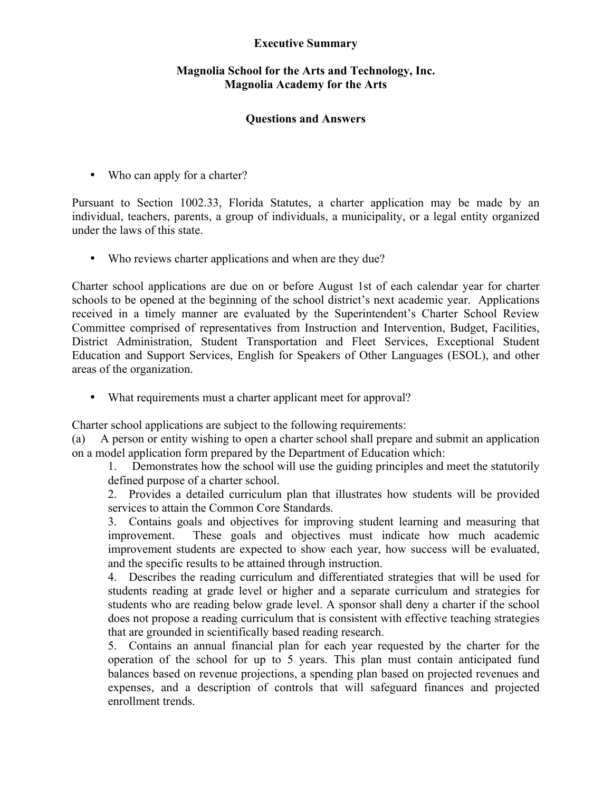## **Executive Summary**

## **Magnolia School for the Arts and Technology, Inc. Magnolia Academy for the Arts**

## **Questions and Answers**

• Who can apply for a charter?

Pursuant to Section 1002.33, Florida Statutes, a charter application may be made by an individual, teachers, parents, a group of individuals, a municipality, or a legal entity organized under the laws of this state.

• Who reviews charter applications and when are they due?

Charter school applications are due on or before August 1st of each calendar year for charter schools to be opened at the beginning of the school district's next academic year. Applications received in a timely manner are evaluated by the Superintendent's Charter School Review Committee comprised of representatives from Instruction and Intervention, Budget, Facilities, District Administration, Student Transportation and Fleet Services, Exceptional Student Education and Support Services, English for Speakers of Other Languages (ESOL), and other areas of the organization.

• What requirements must a charter applicant meet for approval?

Charter school applications are subject to the following requirements:

(a) A person or entity wishing to open a charter school shall prepare and submit an application on a model application form prepared by the Department of Education which:

1. Demonstrates how the school will use the guiding principles and meet the statutorily defined purpose of a charter school.

2. Provides a detailed curriculum plan that illustrates how students will be provided services to attain the Common Core Standards.

3. Contains goals and objectives for improving student learning and measuring that improvement. These goals and objectives must indicate how much academic improvement students are expected to show each year, how success will be evaluated, and the specific results to be attained through instruction.

4. Describes the reading curriculum and differentiated strategies that will be used for students reading at grade level or higher and a separate curriculum and strategies for students who are reading below grade level. A sponsor shall deny a charter if the school does not propose a reading curriculum that is consistent with effective teaching strategies that are grounded in scientifically based reading research.

5. Contains an annual financial plan for each year requested by the charter for the operation of the school for up to 5 years. This plan must contain anticipated fund balances based on revenue projections, a spending plan based on projected revenues and expenses, and a description of controls that will safeguard finances and projected enrollment trends.